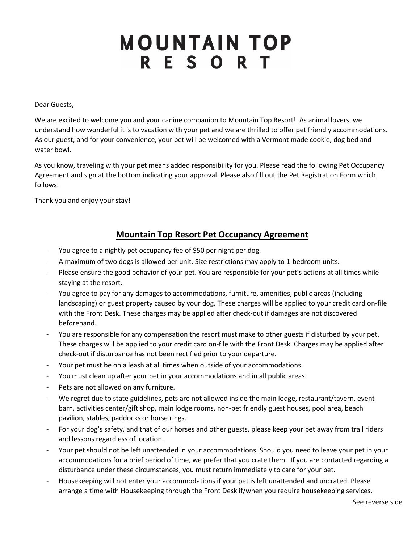## **MOUNTAIN TOP RESORT**

Dear Guests,

We are excited to welcome you and your canine companion to Mountain Top Resort! As animal lovers, we understand how wonderful it is to vacation with your pet and we are thrilled to offer pet friendly accommodations. As our guest, and for your convenience, your pet will be welcomed with a Vermont made cookie, dog bed and water bowl.

As you know, traveling with your pet means added responsibility for you. Please read the following Pet Occupancy Agreement and sign at the bottom indicating your approval. Please also fill out the Pet Registration Form which follows.

Thank you and enjoy your stay!

## **Mountain Top Resort Pet Occupancy Agreement**

- You agree to a nightly pet occupancy fee of \$50 per night per dog.
- A maximum of two dogs is allowed per unit. Size restrictions may apply to 1-bedroom units.
- Please ensure the good behavior of your pet. You are responsible for your pet's actions at all times while staying at the resort.
- You agree to pay for any damages to accommodations, furniture, amenities, public areas (including landscaping) or guest property caused by your dog. These charges will be applied to your credit card on-file with the Front Desk. These charges may be applied after check-out if damages are not discovered beforehand.
- You are responsible for any compensation the resort must make to other guests if disturbed by your pet. These charges will be applied to your credit card on-file with the Front Desk. Charges may be applied after check-out if disturbance has not been rectified prior to your departure.
- Your pet must be on a leash at all times when outside of your accommodations.
- You must clean up after your pet in your accommodations and in all public areas.
- Pets are not allowed on any furniture.
- We regret due to state guidelines, pets are not allowed inside the main lodge, restaurant/tavern, event barn, activities center/gift shop, main lodge rooms, non-pet friendly guest houses, pool area, beach pavilion, stables, paddocks or horse rings.
- For your dog's safety, and that of our horses and other guests, please keep your pet away from trail riders and lessons regardless of location.
- Your pet should not be left unattended in your accommodations. Should you need to leave your pet in your accommodations for a brief period of time, we prefer that you crate them. If you are contacted regarding a disturbance under these circumstances, you must return immediately to care for your pet.
- Housekeeping will not enter your accommodations if your pet is left unattended and uncrated. Please arrange a time with Housekeeping through the Front Desk if/when you require housekeeping services.